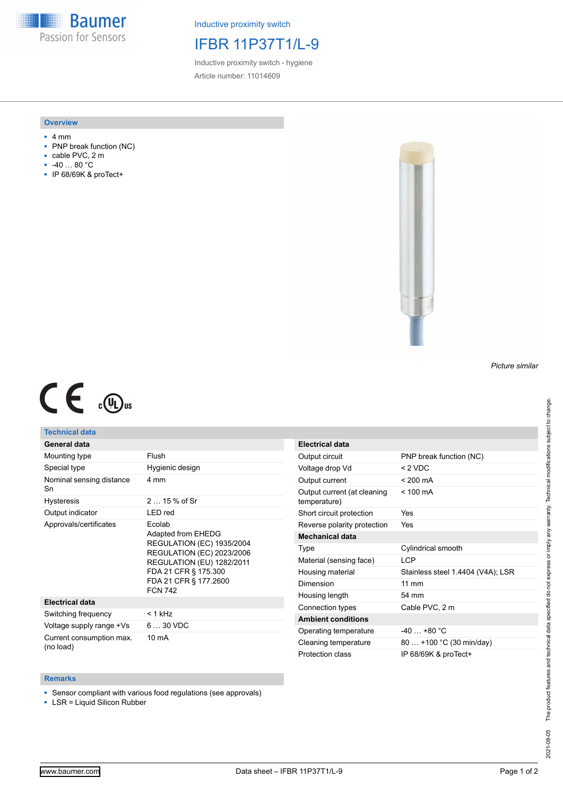**Baumer** Passion for Sensors

Inductive proximity switch

# IFBR 11P37T1/L-9

Inductive proximity switch - hygiene Article number: 11014609

## **Overview**

- 4 mm
- PNP break function (NC)
- cable PVC, 2 m
- -40 … 80 °C
- IP 68/69K & proTect+



#### *Picture similar*

# $C \in \mathbb{C}$

## **Technical data**

| General data                          |                                                                                                                                                                                                             |
|---------------------------------------|-------------------------------------------------------------------------------------------------------------------------------------------------------------------------------------------------------------|
| Mounting type                         | Flush                                                                                                                                                                                                       |
| Special type                          | Hygienic design                                                                                                                                                                                             |
| Nominal sensing distance<br>Sn        | 4 mm                                                                                                                                                                                                        |
| Hysteresis                            | $215%$ of Sr                                                                                                                                                                                                |
| Output indicator                      | LED red                                                                                                                                                                                                     |
| Approvals/certificates                | Ecolab<br>Adapted from EHEDG<br><b>REGULATION (EC) 1935/2004</b><br><b>REGULATION (EC) 2023/2006</b><br><b>REGULATION (EU) 1282/2011</b><br>FDA 21 CFR § 175.300<br>FDA 21 CFR § 177.2600<br><b>FCN 742</b> |
| <b>Electrical data</b>                |                                                                                                                                                                                                             |
| Switching frequency                   | < 1 kHz                                                                                                                                                                                                     |
| Voltage supply range +Vs              | $630$ VDC                                                                                                                                                                                                   |
| Current consumption max.<br>(no load) | $10 \text{ mA}$                                                                                                                                                                                             |

| Electrical data                             |                                   |
|---------------------------------------------|-----------------------------------|
| Output circuit                              | PNP break function (NC)           |
| Voltage drop Vd                             | $<$ 2 VDC                         |
| Output current                              | $< 200 \text{ mA}$                |
| Output current (at cleaning<br>temperature) | $< 100 \text{ mA}$                |
| Short circuit protection                    | Yes                               |
| Reverse polarity protection                 | Yes                               |
| Mechanical data                             |                                   |
| Type                                        | Cylindrical smooth                |
| Material (sensing face)                     | I CP                              |
| Housing material                            | Stainless steel 1.4404 (V4A); LSR |
| Dimension                                   | $11 \text{ mm}$                   |
| Housing length                              | 54 mm                             |
| Connection types                            | Cable PVC, 2 m                    |
| <b>Ambient conditions</b>                   |                                   |
| Operating temperature                       | $-40+80 °C$                       |
| Cleaning temperature                        | 80  +100 °C (30 min/day)          |
| Protection class                            | IP 68/69K & proTect+              |

## **Remarks**

■ Sensor compliant with various food regulations (see approvals)

■ LSR = Liquid Silicon Rubber